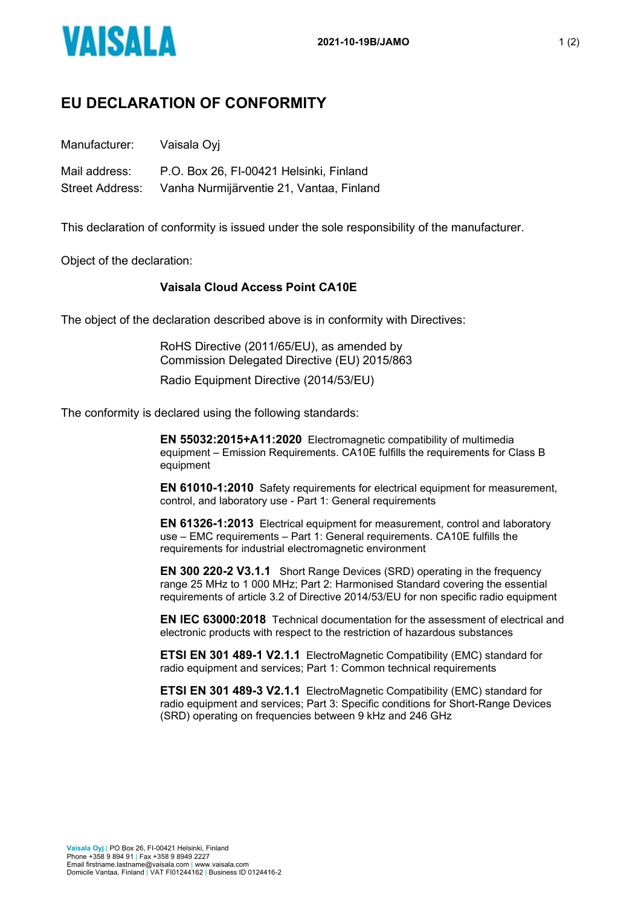

## **EU DECLARATION OF CONFORMITY**

Manufacturer: Vaisala Oyj

Mail address: P.O. Box 26, FI-00421 Helsinki, Finland Street Address: Vanha Nurmijärventie 21, Vantaa, Finland

This declaration of conformity is issued under the sole responsibility of the manufacturer.

Object of the declaration:

## **Vaisala Cloud Access Point CA10E**

The object of the declaration described above is in conformity with Directives:

RoHS Directive (2011/65/EU), as amended by Commission Delegated Directive (EU) 2015/863

Radio Equipment Directive (2014/53/EU)

The conformity is declared using the following standards:

**EN 55032:2015+A11:2020** Electromagnetic compatibility of multimedia equipment – Emission Requirements. CA10E fulfills the requirements for Class B equipment

**EN 61010-1:2010** Safety requirements for electrical equipment for measurement, control, and laboratory use - Part 1: General requirements

**EN 61326-1:2013** Electrical equipment for measurement, control and laboratory use – EMC requirements – Part 1: General requirements. CA10E fulfills the requirements for industrial electromagnetic environment

**EN 300 220-2 V3.1.1** Short Range Devices (SRD) operating in the frequency range 25 MHz to 1 000 MHz; Part 2: Harmonised Standard covering the essential requirements of article 3.2 of Directive 2014/53/EU for non specific radio equipment

**EN IEC 63000:2018** Technical documentation for the assessment of electrical and electronic products with respect to the restriction of hazardous substances

**ETSI EN 301 489-1 V2.1.1** ElectroMagnetic Compatibility (EMC) standard for radio equipment and services; Part 1: Common technical requirements

**ETSI EN 301 489-3 V2.1.1** ElectroMagnetic Compatibility (EMC) standard for radio equipment and services; Part 3: Specific conditions for Short-Range Devices (SRD) operating on frequencies between 9 kHz and 246 GHz